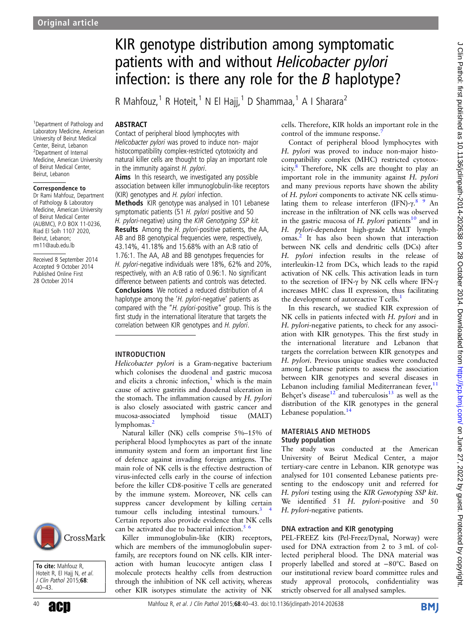1 Department of Pathology and Laboratory Medicine, American University of Beirut Medical Center, Beirut, Lebanon 2 Department of Internal Medicine, American University of Beirut Medical Center, Beirut, Lebanon

Correspondence to Dr Rami Mahfouz, Department of Pathology & Laboratory Medicine, American University of Beirut Medical Center (AUBMC), P.O BOX 11-0236, Riad El Solh 1107 2020, Beirut, Lebanon; rm11@aub.edu.lb

Received 8 September 2014 Accepted 9 October 2014 Published Online First 28 October 2014

# KIR genotype distribution among symptomatic patients with and without Helicobacter pylori infection: is there any role for the  $B$  haplotype?

R Mahfouz,<sup>1</sup> R Hoteit,<sup>1</sup> N El Hajj,<sup>1</sup> D Shammaa,<sup>1</sup> A I Sharara<sup>2</sup>

# **ABSTRACT**

Contact of peripheral blood lymphocytes with Helicobacter pylori was proved to induce non- major histocompatibility complex-restricted cytotoxicity and natural killer cells are thought to play an important role in the immunity against  $H$ . pylori.

Aims In this research, we investigated any possible association between killer immunoglobulin-like receptors (KIR) genotypes and H. pylori infection. Methods KIR genotype was analysed in 101 Lebanese

symptomatic patients (51 H. pylori positive and 50 H. pylori-negative) using the KIR Genotyping SSP kit. Results Among the H. pylori-positive patients, the AA, AB and BB genotypical frequencies were, respectively, 43.14%, 41.18% and 15.68% with an A:B ratio of 1.76:1. The AA, AB and BB genotypes frequencies for H. pylori-negative individuals were 18%, 62% and 20%, respectively, with an A:B ratio of 0.96:1. No significant difference between patients and controls was detected. Conclusions We noticed a reduced distribution of A haplotype among the 'H. pylori-negative' patients as compared with the "H. pylori-positive" group. This is the first study in the international literature that targets the correlation between KIR genotypes and H. pylori.

## INTRODUCTION

Helicobacter pylori is a Gram-negative bacterium which colonises the duodenal and gastric mucosa and elicits a chronic infection, $<sup>1</sup>$  $<sup>1</sup>$  $<sup>1</sup>$  which is the main</sup> cause of active gastritis and duodenal ulceration in the stomach. The inflammation caused by H. pylori<br>is also closely associated with gastric cancer and mucosa-associated lymphoid tissue (MALT) lymphomas.<sup>[2](#page-3-0)</sup>

Natural killer (NK) cells comprise 5%–15% of peripheral blood lymphocytes as part of the innate immunity system and form an important first line of defence against invading foreign antigens. The main role of NK cells is the effective destruction of virus-infected cells early in the course of infection before the killer CD8-positive T cells are generated by the immune system. Moreover, NK cells can suppress cancer development by killing certain tumour cells including intestinal tumours. $3$ Certain reports also provide evidence that NK cells can be activated due to bacterial infection. $5\frac{6}{5}$ 

Killer immunoglobulin-like (KIR) receptors, which are members of the immunoglobulin superfamily, are receptors found on NK cells. KIR interaction with human leucocyte antigen class I molecule protects healthy cells from destruction through the inhibition of NK cell activity, whereas other KIR isotypes stimulate the activity of NK cells. Therefore, KIR holds an important role in the control of the immune response.<sup>[7](#page-3-0)</sup>

Contact of peripheral blood lymphocytes with H. *pylori* was proved to induce non-major histocompatibility complex (MHC) restricted cytotoxicity. $8$  Therefore, NK cells are thought to play an important role in the immunity against H. pylori and many previous reports have shown the ability of H. pylori components to activate NK cells stimulating them to release interferon (IFN)-γ.<sup>8</sup> 9 An increase in the infiltration of NK cells was observed in the gastric mucosa of H. pylori patients<sup>10</sup> and in H. [py](#page-3-0)lori-dependent high-grade MALT lymphomas.2 It has also been shown that interaction between NK cells and dendritic cells (DCs) after H. *pylori* infection results in the release of interleukin-12 from DCs, which leads to the rapid activation of NK cells. This activation leads in turn to the secretion of IFN-γ by NK cells where IFN-γ increases MHC class II expression, thus facilitating the development of autoreactive T cells.<sup>1</sup>

In this research, we studied KIR expression of NK cells in patients infected with H. pylori and in H. pylori-negative patients, to check for any association with KIR genotypes. This the first study in the international literature and Lebanon that targets the correlation between KIR genotypes and H. pylori. Previous unique studies were conducted among Lebanese patients to assess the association between KIR genotypes and several diseases in Lebanon including familial Mediterranean fever, $<sup>11</sup>$  $<sup>11</sup>$  $<sup>11</sup>$ </sup> Behçet's disease<sup>12</sup> and tuberculosis<sup>[13](#page-3-0)</sup> as well as the distribution of the KIR genotypes in the general Lebanese population.<sup>14</sup>

#### MATERIALS AND METHODS Study population

The study was conducted at the American University of Beirut Medical Center, a major tertiary-care centre in Lebanon. KIR genotype was analysed for 101 consented Lebanese patients presenting to the endoscopy unit and referred for H. pylori testing using the KIR Genotyping SSP kit. We identified 51 H. pylori-positive and 50 H. pylori-negative patients.

## DNA extraction and KIR genotyping

PEL-FREEZ kits (Pel-Freez/Dynal, Norway) were used for DNA extraction from 2 to 3 mL of collected peripheral blood. The DNA material was properly labelled and stored at −80°C. Based on our institutional review board committee rules and study approval protocols, confidentiality was strictly observed for all analysed samples.



To cite: Mahfouz R, Hoteit R, El Hajj N, et al. J Clin Pathol 2015;68: 40–43.

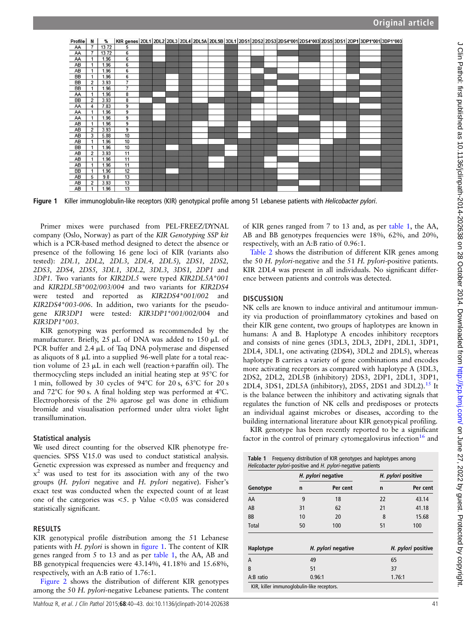

Figure 1 Killer immunoglobulin-like receptors (KIR) genotypical profile among 51 Lebanese patients with *Helicobacter pylori*.

Primer mixes were purchased from PEL-FREEZ/DYNAL company (Oslo, Norway) as part of the KIR Genotyping SSP kit which is a PCR-based method designed to detect the absence or presence of the following 16 gene loci of KIR (variants also tested): 2DL1, 2DL2, 2DL3, 2DL4, 2DL5), 2DS1, 2DS2, 2DS3, 2DS4, 2DS5, 3DL1, 3DL2, 3DL3, 3DS1, 2DP1 and 3DP1. Two variants for KIR2DL5 were typed KIR2DL5A\*001 and KIR2DL5B\*002/003/004 and two variants for KIR2DS4 were tested and reported as KIR2DS4\*001/002 and KIR2DS4\*003-006. In addition, two variants for the pseudogene KIR3DP1 were tested: KIR3DP1\*001/002/004 and KIR3DP1\*003.

KIR genotyping was performed as recommended by the manufacturer. Briefly, 25 µL of DNA was added to 150 µL of PCR buffer and 2.4  $\mu$ L of Taq DNA polymerase and dispensed as aliquots of 8  $\mu$ L into a supplied 96-well plate for a total reaction volume of  $23 \mu L$  in each well (reaction+paraffin oil). The thermocycling steps included an initial heating step at 95°C for 1 min, followed by 30 cycles of 94°C for 20 s, 63°C for 20 s and 72°C for 90 s. A final holding step was performed at 4°C. Electrophoresis of the 2% agarose gel was done in ethidium bromide and visualisation performed under ultra violet light transillumination.

# Statistical analysis

We used direct counting for the observed KIR phenotype frequencies. SPSS V.15.0 was used to conduct statistical analysis. Genetic expression was expressed as number and frequency and  $x<sup>2</sup>$  was used to test for its association with any of the two groups (H. pylori negative and H. pylori negative). Fisher'<sup>s</sup> exact test was conducted when the expected count of at least one of the categories was <5. p Value <0.05 was considered statistically significant.

## RESULTS

KIR genotypical profile distribution among the 51 Lebanese patients with H. *pylori* is shown in figure 1. The content of KIR genes ranged from 5 to 13 and as per table 1, the AA, AB and BB genotypical frequencies were 43.14%, 41.18% and 15.68%, respectively, with an A:B ratio of 1.76:1.

[Figure 2](#page-2-0) shows the distribution of different KIR genotypes among the 50 H. pylori-negative Lebanese patients. The content of KIR genes ranged from 7 to 13 and, as per table 1, the AA, AB and BB genotypes frequencies were 18%, 62%, and 20%, respectively, with an A:B ratio of 0.96:1.

Table 2 shows the distribution of different KIR genes among the 50 H. pylori-negative and the 51 H. pylori-positive patients. KIR 2DL4 was present in all individuals. No significant difference between patients and controls was detected.

# **DISCUSSION**

NK cells are known to induce antiviral and antitumour immunity via production of proinflammatory cytokines and based on their KIR gene content, two groups of haplotypes are known in humans: A and B. Haplotype A encodes inhibitory receptors and consists of nine genes (3DL3, 2DL3, 2DP1, 2DL1, 3DP1, 2DL4, 3DL1, one activating (2DS4), 3DL2 and 2DL5), whereas haplotype B carries a variety of gene combinations and encodes more activating receptors as compared with haplotype A (3DL3, 2DS2, 2DL2, 2DL5B (inhibitory) 2DS3, 2DP1, 2DL1, 3DP1, 2DL4, 3DS1, 2DL5A (inhibitory), 2DS5, 2DS1 and 3DL2).<sup>[15](#page-3-0)</sup> It is the balance between the inhibitory and activating signals that regulates the function of NK cells and predisposes or protects an individual against microbes or diseases, according to the building international literature about KIR genotypical profiling.

KIR genotype has been recently reported to be a significant factor in the control of primary cytomegalovirus infection<sup>[16](#page-3-0)</sup> and

| <b>Table 1</b> Frequency distribution of KIR genotypes and haplotypes among |  |  |  |
|-----------------------------------------------------------------------------|--|--|--|
| Helicobacter pylori-positive and H. pylori-negative patients                |  |  |  |

|                                            | H. pylori negative |          | H. pylori positive |                    |
|--------------------------------------------|--------------------|----------|--------------------|--------------------|
| Genotype                                   | n                  | Per cent | n                  | Per cent           |
| AA                                         | 9                  | 18       | 22                 | 43.14              |
| AB                                         | 31                 | 62       | 21                 | 41.18              |
| <b>BB</b>                                  | 10                 | 20       | 8                  | 15.68              |
| Total                                      | 50                 | 100      | 51                 | 100                |
|                                            |                    |          |                    |                    |
| Haplotype                                  | H. pylori negative |          |                    | H. pylori positive |
| A                                          | 49                 |          | 65                 |                    |
| B                                          | 51                 |          | 37                 |                    |
| A:B ratio                                  |                    | 0.96:1   | 1.76:1             |                    |
| KIR, killer immunoglobulin-like receptors. |                    |          |                    |                    |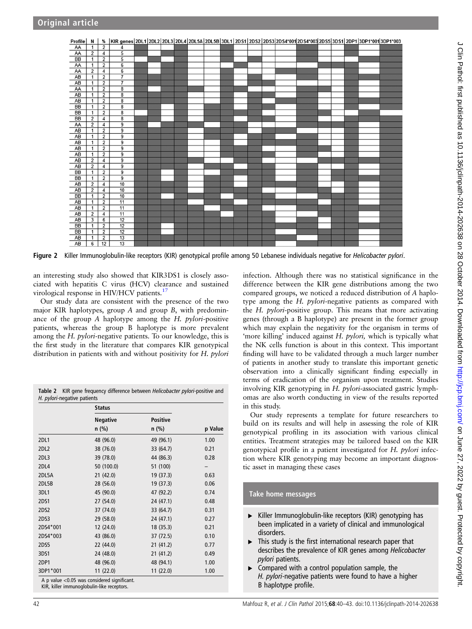<span id="page-2-0"></span>

Figure 2 Killer Immunoglobulin-like receptors (KIR) genotypical profile among 50 Lebanese individuals negative for *Helicobacter pylori*.

an interesting study also showed that KIR3DS1 is closely associated with hepatitis C virus (HCV) clearance and sustained virological response in HIV/HCV patients.<sup>[17](#page-3-0)</sup>

Our study data are consistent with the presence of the two major KIR haplotypes, group A and group B, with predominance of the group A haplotype among the H. pylori-positive patients, whereas the group B haplotype is more prevalent among the H. pylori-negative patients. To our knowledge, this is the first study in the literature that compares KIR genotypical distribution in patients with and without positivity for H. *pylori* 

Table 2 KIR gene frequency difference between Helicobacter pylori-positive and H. pylori-negative patients

| <b>Positive</b><br>$n$ (%)<br>p Value<br>49 (96.1)<br>1.00 |
|------------------------------------------------------------|
|                                                            |
|                                                            |
|                                                            |
| 0.21<br>33 (64.7)                                          |
| 44 (86.3)<br>0.28                                          |
| 51 (100)                                                   |
| 19 (37.3)<br>0.63                                          |
| 19 (37.3)<br>0.06                                          |
| 47 (92.2)<br>0.74                                          |
| 24 (47.1)<br>0.48                                          |
| 33 (64.7)<br>0.31                                          |
| 24 (47.1)<br>0.27                                          |
| 0.21<br>18 (35.3)                                          |
| 37 (72.5)<br>0.10                                          |
| 21(41.2)<br>0.77                                           |
| 21 (41.2)<br>0.49                                          |
| 48 (94.1)<br>1.00                                          |
| 11(22.0)<br>1.00                                           |
|                                                            |

A p value <0.05 was considered significant. KIR, killer immunoglobulin-like receptors.

infection. Although there was no statistical significance in the difference between the KIR gene distributions among the two compared groups, we noticed a reduced distribution of A haplotype among the H. pylori-negative patients as compared with the H. pylori-positive group. This means that more activating genes (through a B haplotype) are present in the former group which may explain the negativity for the organism in terms of 'more killing' induced against H. pylori, which is typically what the NK cells function is about in this context. This important finding will have to be validated through a much larger number of patients in another study to translate this important genetic observation into a clinically significant finding especially in terms of eradication of the organism upon treatment. Studies involving KIR genotyping in H. pylori-associated gastric lymphomas are also worth conducting in view of the results reported in this study.

Our study represents a template for future researchers to build on its results and will help in assessing the role of KIR genotypical profiling in its association with various clinical entities. Treatment strategies may be tailored based on the KIR genotypical profile in a patient investigated for H. pylori infection where KIR genotyping may become an important diagnostic asset in managing these cases

## Take home messages

- ▸ Killer Immunoglobulin-like receptors (KIR) genotyping has been implicated in a variety of clinical and immunological disorders.
- $\blacktriangleright$  This study is the first international research paper that describes the prevalence of KIR genes among Helicobacter pylori patients.
- ▸ Compared with a control population sample, the H. pylori-negative patients were found to have a higher B haplotype profile.